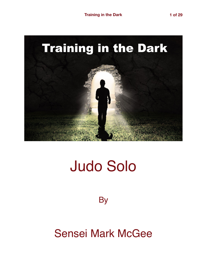

# Judo Solo

**By** 

# Sensei Mark McGee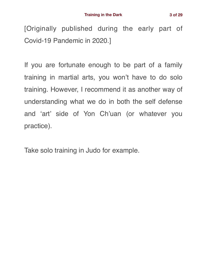[Originally published during the early part of Covid-19 Pandemic in 2020.]

If you are fortunate enough to be part of a family training in martial arts, you won't have to do solo training. However, I recommend it as another way of understanding what we do in both the self defense and 'art' side of Yon Ch'uan (or whatever you practice).

Take solo training in Judo for example.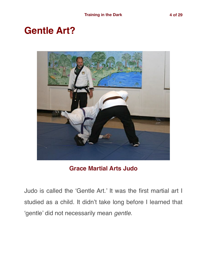## **Gentle Art?**



#### **Grace Martial Arts Judo**

Judo is called the 'Gentle Art.' It was the first martial art I studied as a child. It didn't take long before I learned that 'gentle' did not necessarily mean *gentle*.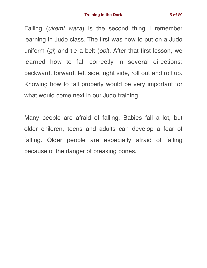Falling (*ukemi waza*) is the second thing I remember learning in Judo class. The first was how to put on a Judo uniform (*gi*) and tie a belt (*obi*). After that first lesson, we learned how to fall correctly in several directions: backward, forward, left side, right side, roll out and roll up. Knowing how to fall properly would be very important for what would come next in our Judo training.

Many people are afraid of falling. Babies fall a lot, but older children, teens and adults can develop a fear of falling. Older people are especially afraid of falling because of the danger of breaking bones.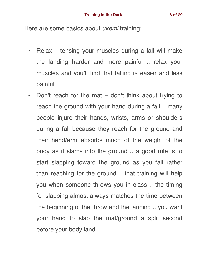Here are some basics about *ukemi* training:

- Relax tensing your muscles during a fall will make the landing harder and more painful .. relax your muscles and you'll find that falling is easier and less painful
- Don't reach for the mat don't think about trying to reach the ground with your hand during a fall .. many people injure their hands, wrists, arms or shoulders during a fall because they reach for the ground and their hand/arm absorbs much of the weight of the body as it slams into the ground .. a good rule is to start slapping toward the ground as you fall rather than reaching for the ground .. that training will help you when someone throws you in class .. the timing for slapping almost always matches the time between the beginning of the throw and the landing .. you want your hand to slap the mat/ground a split second before your body land.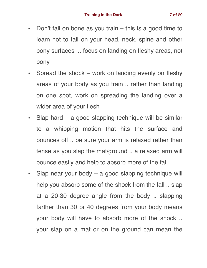- Don't fall on bone as you train this is a good time to learn not to fall on your head, neck, spine and other bony surfaces .. focus on landing on fleshy areas, not bony
- Spread the shock work on landing evenly on fleshy areas of your body as you train .. rather than landing on one spot, work on spreading the landing over a wider area of your flesh
- Slap hard a good slapping technique will be similar to a whipping motion that hits the surface and bounces off .. be sure your arm is relaxed rather than tense as you slap the mat/ground .. a relaxed arm will bounce easily and help to absorb more of the fall
- Slap near your body a good slapping technique will help you absorb some of the shock from the fall .. slap at a 20-30 degree angle from the body .. slapping farther than 30 or 40 degrees from your body means your body will have to absorb more of the shock .. your slap on a mat or on the ground can mean the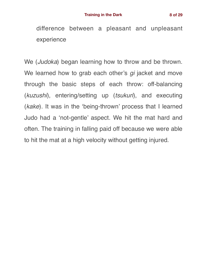difference between a pleasant and unpleasant experience

We (*Judoka*) began learning how to throw and be thrown. We learned how to grab each other's *gi* jacket and move through the basic steps of each throw: off-balancing (*kuzushi*), entering/setting up (*tsukuri*), and executing (*kake*). It was in the 'being-thrown' process that I learned Judo had a 'not-gentle' aspect. We hit the mat hard and often. The training in falling paid off because we were able to hit the mat at a high velocity without getting injured.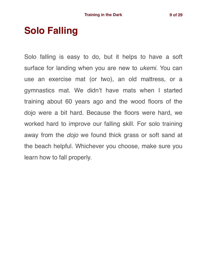## **Solo Falling**

Solo falling is easy to do, but it helps to have a soft surface for landing when you are new to *ukemi*. You can use an exercise mat (or two), an old mattress, or a gymnastics mat. We didn't have mats when I started training about 60 years ago and the wood floors of the dojo were a bit hard. Because the floors were hard, we worked hard to improve our falling skill. For solo training away from the *dojo* we found thick grass or soft sand at the beach helpful. Whichever you choose, make sure you learn how to fall properly.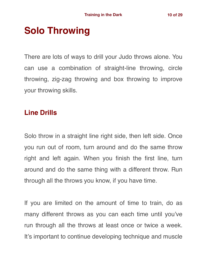# **Solo Throwing**

There are lots of ways to drill your Judo throws alone. You can use a combination of straight-line throwing, circle throwing, zig-zag throwing and box throwing to improve your throwing skills.

### **Line Drills**

Solo throw in a straight line right side, then left side. Once you run out of room, turn around and do the same throw right and left again. When you finish the first line, turn around and do the same thing with a different throw. Run through all the throws you know, if you have time.

If you are limited on the amount of time to train, do as many different throws as you can each time until you've run through all the throws at least once or twice a week. It's important to continue developing technique and muscle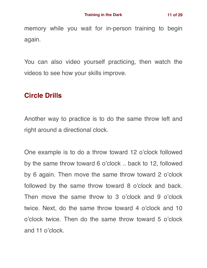memory while you wait for in-person training to begin again.

You can also video yourself practicing, then watch the videos to see how your skills improve.

### **Circle Drills**

Another way to practice is to do the same throw left and right around a directional clock.

One example is to do a throw toward 12 o'clock followed by the same throw toward 6 o'clock .. back to 12, followed by 6 again. Then move the same throw toward 2 o'clock followed by the same throw toward 8 o'clock and back. Then move the same throw to 3 o'clock and 9 o'clock twice. Next, do the same throw toward 4 o'clock and 10 o'clock twice. Then do the same throw toward 5 o'clock and 11 o'clock.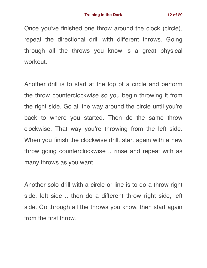Once you've finished one throw around the clock (circle), repeat the directional drill with different throws. Going through all the throws you know is a great physical workout.

Another drill is to start at the top of a circle and perform the throw counterclockwise so you begin throwing it from the right side. Go all the way around the circle until you're back to where you started. Then do the same throw clockwise. That way you're throwing from the left side. When you finish the clockwise drill, start again with a new throw going counterclockwise .. rinse and repeat with as many throws as you want.

Another solo drill with a circle or line is to do a throw right side, left side .. then do a different throw right side, left side. Go through all the throws you know, then start again from the first throw.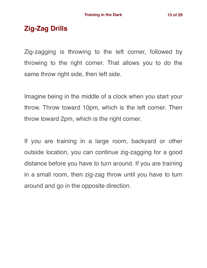### **Zig-Zag Drills**

Zig-zagging is throwing to the left corner, followed by throwing to the right corner. That allows you to do the same throw right side, then left side.

Imagine being in the middle of a clock when you start your throw. Throw toward 10pm, which is the left corner. Then throw toward 2pm, which is the right corner.

If you are training in a large room, backyard or other outside location, you can continue zig-zagging for a good distance before you have to turn around. If you are training in a small room, then zig-zag throw until you have to turn around and go in the opposite direction.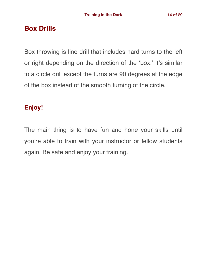### **Box Drills**

Box throwing is line drill that includes hard turns to the left or right depending on the direction of the 'box.' It's similar to a circle drill except the turns are 90 degrees at the edge of the box instead of the smooth turning of the circle.

### **Enjoy!**

The main thing is to have fun and hone your skills until you're able to train with your instructor or fellow students again. Be safe and enjoy your training.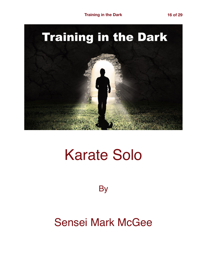

# Karate Solo

**By** 

# Sensei Mark McGee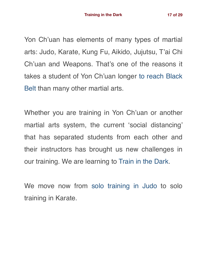Yon Ch'uan has elements of many types of martial arts: Judo, Karate, Kung Fu, Aikido, Jujutsu, T'ai Chi Ch'uan and Weapons. That's one of the reasons it takes a student of Yon Ch'uan longer [to reach Black](https://gracemartialarts.com/yon-chuan-martial-arts-origins-and-practice/black-belt-study-guide/) [Belt](https://gracemartialarts.com/yon-chuan-martial-arts-origins-and-practice/black-belt-study-guide/) than many other martial arts.

Whether you are training in Yon Ch'uan or another martial arts system, the current 'social distancing' that has separated students from each other and their instructors has brought us new challenges in our training. We are learning to [Train in the Dark.](https://gracemartialarts.com/2020/03/21/training-in-the-dark/)

We move now from [solo training in Judo](https://gracemartialarts.com/2020/03/30/training-in-the-dark-judo-solo/) to solo training in Karate.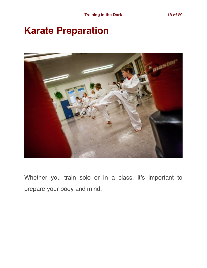## **Karate Preparation**



Whether you train solo or in a class, it's important to prepare your body and mind.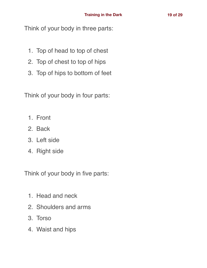Think of your body in three parts:

- 1. Top of head to top of chest
- 2. Top of chest to top of hips
- 3. Top of hips to bottom of feet

Think of your body in four parts:

- 1. Front
- 2. Back
- 3. Left side
- 4. Right side

Think of your body in five parts:

- 1. Head and neck
- 2. Shoulders and arms
- 3. Torso
- 4. Waist and hips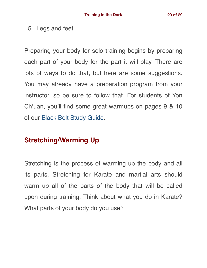#### 5. Legs and feet

Preparing your body for solo training begins by preparing each part of your body for the part it will play. There are lots of ways to do that, but here are some suggestions. You may already have a preparation program from your instructor, so be sure to follow that. For students of Yon Ch'uan, you'll find some great warmups on pages 9 & 10 of our [Black Belt Study Guide](https://gracemartialarts.com/yon-chuan-martial-arts-origins-and-practice/black-belt-study-guide/).

### **Stretching/Warming Up**

Stretching is the process of warming up the body and all its parts. Stretching for Karate and martial arts should warm up all of the parts of the body that will be called upon during training. Think about what you do in Karate? What parts of your body do you use?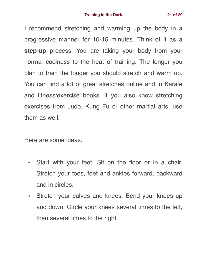I recommend stretching and warming up the body in a progressive manner for 10-15 minutes. Think of it as a **step-up** process. You are taking your body from your normal coolness to the heat of training. The longer you plan to train the longer you should stretch and warm up. You can find a lot of great stretches online and in Karate and fitness/exercise books. If you also know stretching exercises from Judo, Kung Fu or other martial arts, use them as well.

Here are some ideas.

- Start with your feet. Sit on the floor or in a chair. Stretch your toes, feet and ankles forward, backward and in circles.
- Stretch your calves and knees. Bend your knees up and down. Circle your knees several times to the left, then several times to the right.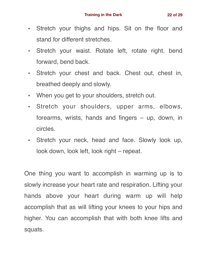- Stretch your thighs and hips. Sit on the floor and stand for different stretches.
- Stretch your waist. Rotate left, rotate right, bend forward, bend back.
- Stretch your chest and back. Chest out, chest in, breathed deeply and slowly.
- When you get to your shoulders, stretch out.
- Stretch your shoulders, upper arms, elbows, forearms, wrists, hands and fingers – up, down, in circles.
- Stretch your neck, head and face. Slowly look up, look down, look left, look right – repeat.

One thing you want to accomplish in warming up is to slowly increase your heart rate and respiration. Lifting your hands above your heart during warm up will help accomplish that as will lifting your knees to your hips and higher. You can accomplish that with both knee lifts and squats.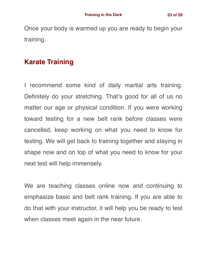Once your body is warmed up you are ready to begin your training.

### **Karate Training**

I recommend some kind of daily martial arts training. Definitely do your stretching. That's good for all of us no matter our age or physical condition. If you were working toward testing for a new belt rank before classes were cancelled, keep working on what you need to know for testing. We will get back to training together and staying in shape now and on top of what you need to know for your next test will help immensely.

We are teaching classes online now and continuing to emphasize basic and belt rank training. If you are able to do that with your instructor, it will help you be ready to test when classes meet again in the near future.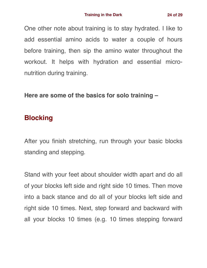One other note about training is to stay hydrated. I like to add essential amino acids to water a couple of hours before training, then sip the amino water throughout the workout. It helps with hydration and essential micronutrition during training.

**Here are some of the basics for solo training –**

### **Blocking**

After you finish stretching, run through your basic blocks standing and stepping.

Stand with your feet about shoulder width apart and do all of your blocks left side and right side 10 times. Then move into a back stance and do all of your blocks left side and right side 10 times. Next, step forward and backward with all your blocks 10 times (e.g. 10 times stepping forward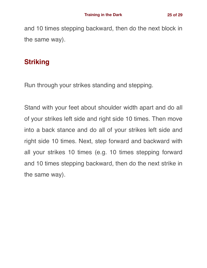and 10 times stepping backward, then do the next block in the same way).

### **Striking**

Run through your strikes standing and stepping.

Stand with your feet about shoulder width apart and do all of your strikes left side and right side 10 times. Then move into a back stance and do all of your strikes left side and right side 10 times. Next, step forward and backward with all your strikes 10 times (e.g. 10 times stepping forward and 10 times stepping backward, then do the next strike in the same way).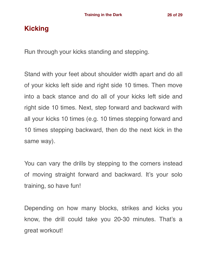### **Kicking**

Run through your kicks standing and stepping.

Stand with your feet about shoulder width apart and do all of your kicks left side and right side 10 times. Then move into a back stance and do all of your kicks left side and right side 10 times. Next, step forward and backward with all your kicks 10 times (e.g. 10 times stepping forward and 10 times stepping backward, then do the next kick in the same way).

You can vary the drills by stepping to the corners instead of moving straight forward and backward. It's your solo training, so have fun!

Depending on how many blocks, strikes and kicks you know, the drill could take you 20-30 minutes. That's a great workout!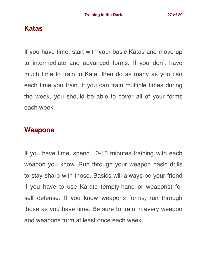### **Katas**

If you have time, start with your basic Katas and move up to intermediate and advanced forms. If you don't have much time to train in Kata, then do as many as you can each time you train. If you can train multiple times during the week, you should be able to cover all of your forms each week.

#### **Weapons**

If you have time, spend 10-15 minutes training with each weapon you know. Run through your weapon basic drills to stay sharp with those. Basics will always be your friend if you have to use Karate (empty-hand or weapons) for self defense. If you know weapons forms, run through those as you have time. Be sure to train in every weapon and weapons form at least once each week.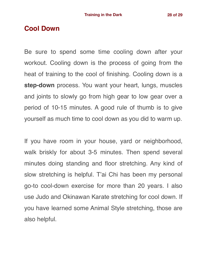#### **Cool Down**

Be sure to spend some time cooling down after your workout. Cooling down is the process of going from the heat of training to the cool of finishing. Cooling down is a **step-down** process. You want your heart, lungs, muscles and joints to slowly go from high gear to low gear over a period of 10-15 minutes. A good rule of thumb is to give yourself as much time to cool down as you did to warm up.

If you have room in your house, yard or neighborhood, walk briskly for about 3-5 minutes. Then spend several minutes doing standing and floor stretching. Any kind of slow stretching is helpful. T'ai Chi has been my personal go-to cool-down exercise for more than 20 years. I also use Judo and Okinawan Karate stretching for cool down. If you have learned some Animal Style stretching, those are also helpful.